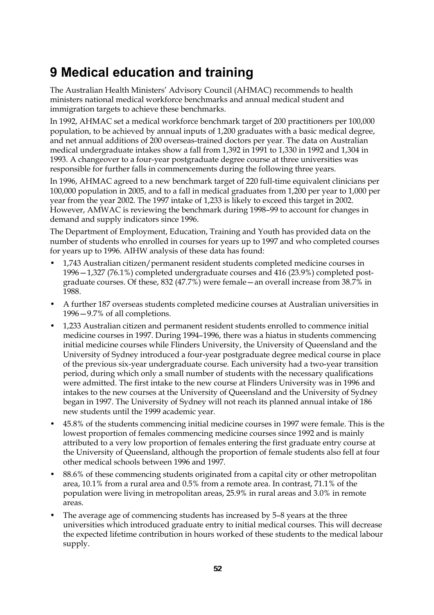## **9 Medical education and training**

The Australian Health Ministers' Advisory Council (AHMAC) recommends to health ministers national medical workforce benchmarks and annual medical student and immigration targets to achieve these benchmarks.

In 1992, AHMAC set a medical workforce benchmark target of 200 practitioners per 100,000 population, to be achieved by annual inputs of 1,200 graduates with a basic medical degree, and net annual additions of 200 overseas-trained doctors per year. The data on Australian medical undergraduate intakes show a fall from 1,392 in 1991 to 1,330 in 1992 and 1,304 in 1993. A changeover to a four-year postgraduate degree course at three universities was responsible for further falls in commencements during the following three years.

In 1996, AHMAC agreed to a new benchmark target of 220 full-time equivalent clinicians per 100,000 population in 2005, and to a fall in medical graduates from 1,200 per year to 1,000 per year from the year 2002. The 1997 intake of 1,233 is likely to exceed this target in 2002. However, AMWAC is reviewing the benchmark during 1998–99 to account for changes in demand and supply indicators since 1996.

The Department of Employment, Education, Training and Youth has provided data on the number of students who enrolled in courses for years up to 1997 and who completed courses for years up to 1996. AIHW analysis of these data has found:

- 1,743 Australian citizen/permanent resident students completed medicine courses in 1996—1,327 (76.1%) completed undergraduate courses and 416 (23.9%) completed postgraduate courses. Of these, 832 (47.7%) were female—an overall increase from 38.7% in 1988.
- A further 187 overseas students completed medicine courses at Australian universities in 1996—9.7% of all completions.
- 1,233 Australian citizen and permanent resident students enrolled to commence initial medicine courses in 1997. During 1994–1996, there was a hiatus in students commencing initial medicine courses while Flinders University, the University of Queensland and the University of Sydney introduced a four-year postgraduate degree medical course in place of the previous six-year undergraduate course. Each university had a two-year transition period, during which only a small number of students with the necessary qualifications were admitted. The first intake to the new course at Flinders University was in 1996 and intakes to the new courses at the University of Queensland and the University of Sydney began in 1997. The University of Sydney will not reach its planned annual intake of 186 new students until the 1999 academic year.
- 45.8% of the students commencing initial medicine courses in 1997 were female. This is the lowest proportion of females commencing medicine courses since 1992 and is mainly attributed to a very low proportion of females entering the first graduate entry course at the University of Queensland, although the proportion of female students also fell at four other medical schools between 1996 and 1997.
- 88.6% of these commencing students originated from a capital city or other metropolitan area, 10.1% from a rural area and 0.5% from a remote area. In contrast, 71.1% of the population were living in metropolitan areas, 25.9% in rural areas and 3.0% in remote areas.
- The average age of commencing students has increased by 5-8 years at the three universities which introduced graduate entry to initial medical courses. This will decrease the expected lifetime contribution in hours worked of these students to the medical labour supply.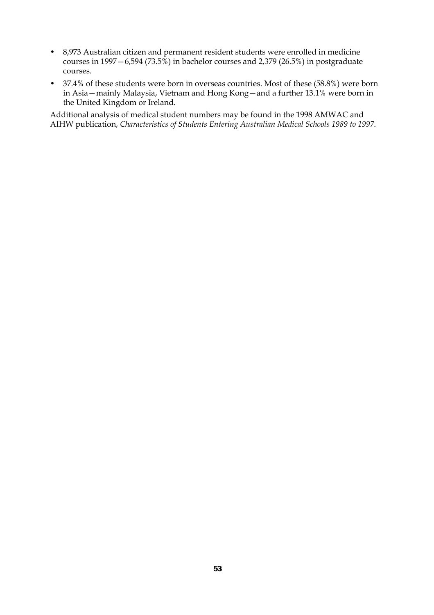- 8,973 Australian citizen and permanent resident students were enrolled in medicine courses in 1997 – 6,594 (73.5%) in bachelor courses and 2,379 (26.5%) in postgraduate courses.
- 37.4% of these students were born in overseas countries. Most of these (58.8%) were born in Asia—mainly Malaysia, Vietnam and Hong Kong—and a further 13.1% were born in the United Kingdom or Ireland.

Additional analysis of medical student numbers may be found in the 1998 AMWAC and AIHW publication, *Characteristics of Students Entering Australian Medical Schools 1989 to 1997*.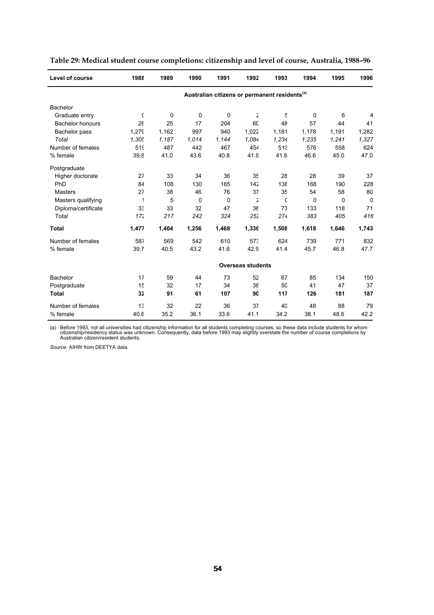| Level of course         | 1988                                                      | 1989        | 1990     | 1991  | 1992                     | 1993  | 1994  | 1995  | 1996        |  |  |  |
|-------------------------|-----------------------------------------------------------|-------------|----------|-------|--------------------------|-------|-------|-------|-------------|--|--|--|
|                         | Australian citizens or permanent residents <sup>(a)</sup> |             |          |       |                          |       |       |       |             |  |  |  |
| <b>Bachelor</b>         |                                                           |             |          |       |                          |       |       |       |             |  |  |  |
| Graduate entry          | C                                                         | $\mathbf 0$ | 0        | 0     | $\tilde{z}$              | £     | 0     | 6     | 4           |  |  |  |
| <b>Bachelor honours</b> | 26                                                        | 25          | 17       | 204   | 60                       | 48    | 57    | 44    | 41          |  |  |  |
| Bachelor pass           | 1,279                                                     | 1,162       | 997      | 940   | 1,022                    | 1,181 | 1,178 | 1,191 | 1,282       |  |  |  |
| Total                   | 1.305                                                     | 1,187       | 1,014    | 1,144 | 1,084                    | 1,234 | 1,235 | 1,241 | 1,327       |  |  |  |
| Number of females       | 51 <sup>c</sup>                                           | 487         | 442      | 467   | 454                      | 513   | 576   | 558   | 624         |  |  |  |
| % female                | 39.8                                                      | 41.0        | 43.6     | 40.8  | 41.9                     | 41.6  | 46.6  | 45.0  | 47.0        |  |  |  |
| Postgraduate            |                                                           |             |          |       |                          |       |       |       |             |  |  |  |
| Higher doctorate        | 27                                                        | 33          | 34       | 36    | 35                       | 28    | 28    | 39    | 37          |  |  |  |
| PhD                     | 84                                                        | 108         | 130      | 165   | 142                      | 138   | 168   | 190   | 228         |  |  |  |
| <b>Masters</b>          | 27                                                        | 38          | 46       | 76    | 37                       | 35    | 54    | 58    | 80          |  |  |  |
| Masters qualifying      | 1                                                         | 5           | $\Omega$ | 0     | 2                        | C     | 0     | 0     | $\mathbf 0$ |  |  |  |
| Diploma/certificate     | 33                                                        | 33          | 32       | 47    | 36                       | 73    | 133   | 118   | 71          |  |  |  |
| Total                   | 172                                                       | 217         | 242      | 324   | 252                      | 274   | 383   | 405   | 416         |  |  |  |
| <b>Total</b>            | 1,477                                                     | 1,404       | 1,256    | 1,468 | 1,336                    | 1,508 | 1,618 | 1,646 | 1,743       |  |  |  |
| Number of females       | 587                                                       | 569         | 542      | 610   | 573                      | 624   | 739   | 771   | 832         |  |  |  |
| % female                | 39.7                                                      | 40.5        | 43.2     | 41.6  | 42.9                     | 41.4  | 45.7  | 46.8  | 47.7        |  |  |  |
|                         |                                                           |             |          |       | <b>Overseas students</b> |       |       |       |             |  |  |  |
| <b>Bachelor</b>         | 17                                                        | 59          | 44       | 73    | 52                       | 67    | 85    | 134   | 150         |  |  |  |
| Postgraduate            | 15                                                        | 32          | 17       | 34    | 38                       | 50    | 41    | 47    | 37          |  |  |  |
| <b>Total</b>            | 32                                                        | 91          | 61       | 107   | 90                       | 117   | 126   | 181   | 187         |  |  |  |
| Number of females       | 13                                                        | 32          | 22       | 36    | 37                       | 40    | 48    | 88    | 79          |  |  |  |
| % female                | 40.6                                                      | 35.2        | 36.1     | 33.6  | 41.1                     | 34.2  | 38.1  | 48.6  | 42.2        |  |  |  |

**Table 29: Medical student course completions: citizenship and level of course, Australia, 1988–96**

(a) Before 1993, not all universities had citizenship information for all students completing courses, so these data include students for whom<br>citizenship/residency status was unknown. Consequently, data before 1993 may sl

*Source:* AIHW from DEETYA data.